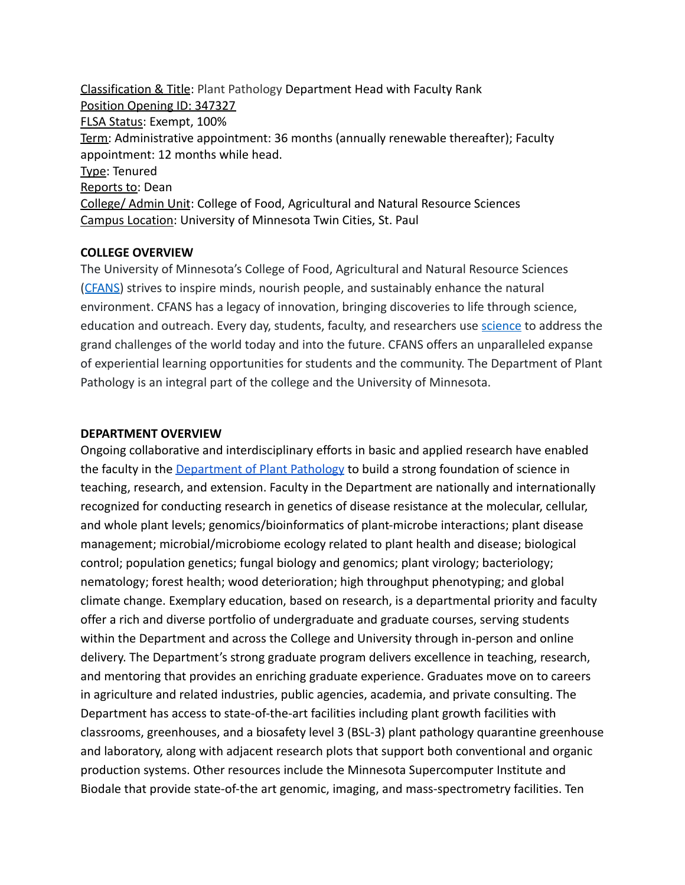Classification & Title: Plant Pathology Department Head with Faculty Rank Position Opening ID: 347327 FLSA Status: Exempt, 100% Term: Administrative appointment: 36 months (annually renewable thereafter); Faculty appointment: 12 months while head. Type: Tenured Reports to: Dean College/ Admin Unit: College of Food, Agricultural and Natural Resource Sciences Campus Location: University of Minnesota Twin Cities, St. Paul

#### **COLLEGE OVERVIEW**

The University of Minnesota's College of Food, Agricultural and Natural Resource Sciences ([CFANS](https://cfans.umn.edu/)) strives to inspire minds, nourish people, and sustainably enhance the natural environment. CFANS has a legacy of innovation, bringing discoveries to life through science, education and outreach. Every day, students, faculty, and researchers use [science](https://www.youtube.com/watch?v=MxR6Bim2he8) to address the grand challenges of the world today and into the future. CFANS offers an unparalleled expanse of experiential learning opportunities for students and the community. The Department of Plant Pathology is an integral part of the college and the University of Minnesota.

#### **DEPARTMENT OVERVIEW**

Ongoing collaborative and interdisciplinary efforts in basic and applied research have enabled the faculty in the [Department of Plant Pathology](https://plpa.cfans.umn.edu/) to build a strong foundation of science in teaching, research, and extension. Faculty in the Department are nationally and internationally recognized for conducting research in genetics of disease resistance at the molecular, cellular, and whole plant levels; genomics/bioinformatics of plant-microbe interactions; plant disease management; microbial/microbiome ecology related to plant health and disease; biological control; population genetics; fungal biology and genomics; plant virology; bacteriology; nematology; forest health; wood deterioration; high throughput phenotyping; and global climate change. Exemplary education, based on research, is a departmental priority and faculty offer a rich and diverse portfolio of undergraduate and graduate courses, serving students within the Department and across the College and University through in-person and online delivery. The Department's strong graduate program delivers excellence in teaching, research, and mentoring that provides an enriching graduate experience. Graduates move on to careers in agriculture and related industries, public agencies, academia, and private consulting. The Department has access to state-of-the-art facilities including plant growth facilities with classrooms, greenhouses, and a biosafety level 3 (BSL-3) plant pathology quarantine greenhouse and laboratory, along with adjacent research plots that support both conventional and organic production systems. Other resources include the Minnesota Supercomputer Institute and Biodale that provide state-of-the art genomic, imaging, and mass-spectrometry facilities. Ten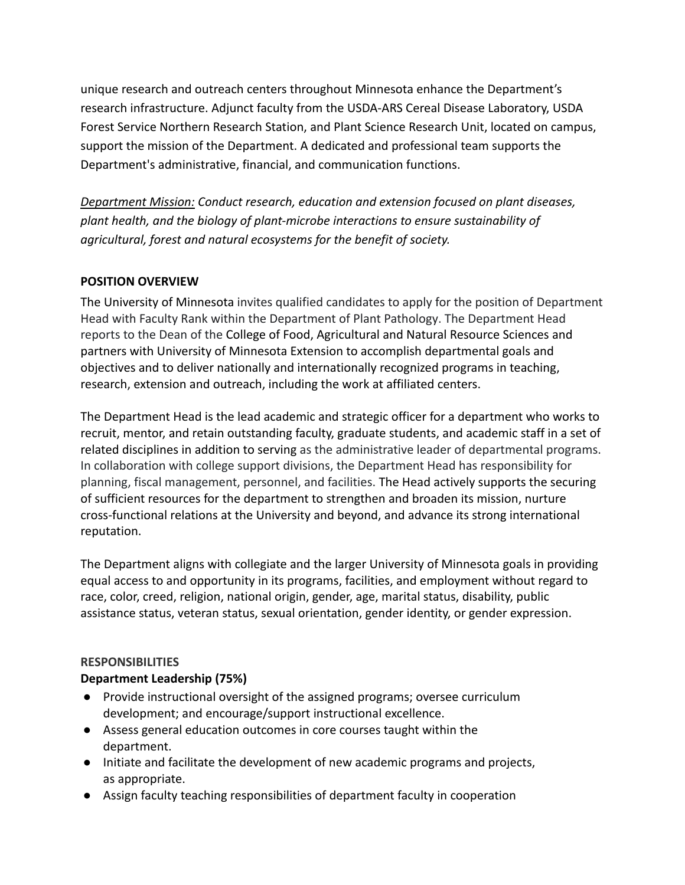unique research and outreach centers throughout Minnesota enhance the Department's research infrastructure. Adjunct faculty from the USDA-ARS Cereal Disease Laboratory, USDA Forest Service Northern Research Station, and Plant Science Research Unit, located on campus, support the mission of the Department. A dedicated and professional team supports the Department's administrative, financial, and communication functions.

*Department Mission: Conduct research, education and extension focused on plant diseases, plant health, and the biology of plant-microbe interactions to ensure sustainability of agricultural, forest and natural ecosystems for the benefit of society.*

## **POSITION OVERVIEW**

The University of Minnesota invites qualified candidates to apply for the position of Department Head with Faculty Rank within the Department of Plant Pathology. The Department Head reports to the Dean of the College of Food, Agricultural and Natural Resource Sciences and partners with University of Minnesota Extension to accomplish departmental goals and objectives and to deliver nationally and internationally recognized programs in teaching, research, extension and outreach, including the work at affiliated centers.

The Department Head is the lead academic and strategic officer for a department who works to recruit, mentor, and retain outstanding faculty, graduate students, and academic staff in a set of related disciplines in addition to serving as the administrative leader of departmental programs. In collaboration with college support divisions, the Department Head has responsibility for planning, fiscal management, personnel, and facilities. The Head actively supports the securing of sufficient resources for the department to strengthen and broaden its mission, nurture cross-functional relations at the University and beyond, and advance its strong international reputation.

The Department aligns with collegiate and the larger University of Minnesota goals in providing equal access to and opportunity in its programs, facilities, and employment without regard to race, color, creed, religion, national origin, gender, age, marital status, disability, public assistance status, veteran status, sexual orientation, gender identity, or gender expression.

## **RESPONSIBILITIES**

## **Department Leadership (75%)**

- Provide instructional oversight of the assigned programs; oversee curriculum development; and encourage/support instructional excellence.
- Assess general education outcomes in core courses taught within the department.
- Initiate and facilitate the development of new academic programs and projects, as appropriate.
- Assign faculty teaching responsibilities of department faculty in cooperation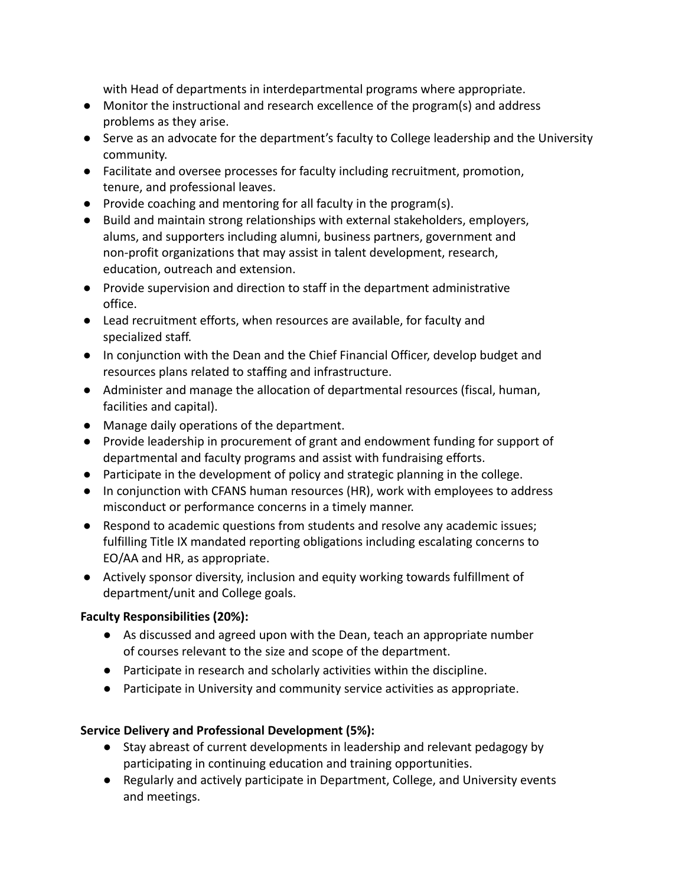with Head of departments in interdepartmental programs where appropriate.

- Monitor the instructional and research excellence of the program(s) and address problems as they arise.
- Serve as an advocate for the department's faculty to College leadership and the University community.
- Facilitate and oversee processes for faculty including recruitment, promotion, tenure, and professional leaves.
- Provide coaching and mentoring for all faculty in the program(s).
- Build and maintain strong relationships with external stakeholders, employers, alums, and supporters including alumni, business partners, government and non-profit organizations that may assist in talent development, research, education, outreach and extension.
- Provide supervision and direction to staff in the department administrative office.
- Lead recruitment efforts, when resources are available, for faculty and specialized staff.
- In conjunction with the Dean and the Chief Financial Officer, develop budget and resources plans related to staffing and infrastructure.
- Administer and manage the allocation of departmental resources (fiscal, human, facilities and capital).
- Manage daily operations of the department.
- Provide leadership in procurement of grant and endowment funding for support of departmental and faculty programs and assist with fundraising efforts.
- Participate in the development of policy and strategic planning in the college.
- In conjunction with CFANS human resources (HR), work with employees to address misconduct or performance concerns in a timely manner.
- Respond to academic questions from students and resolve any academic issues; fulfilling Title IX mandated reporting obligations including escalating concerns to EO/AA and HR, as appropriate.
- Actively sponsor diversity, inclusion and equity working towards fulfillment of department/unit and College goals.

## **Faculty Responsibilities (20%):**

- As discussed and agreed upon with the Dean, teach an appropriate number of courses relevant to the size and scope of the department.
- Participate in research and scholarly activities within the discipline.
- Participate in University and community service activities as appropriate.

## **Service Delivery and Professional Development (5%):**

- Stay abreast of current developments in leadership and relevant pedagogy by participating in continuing education and training opportunities.
- Regularly and actively participate in Department, College, and University events and meetings.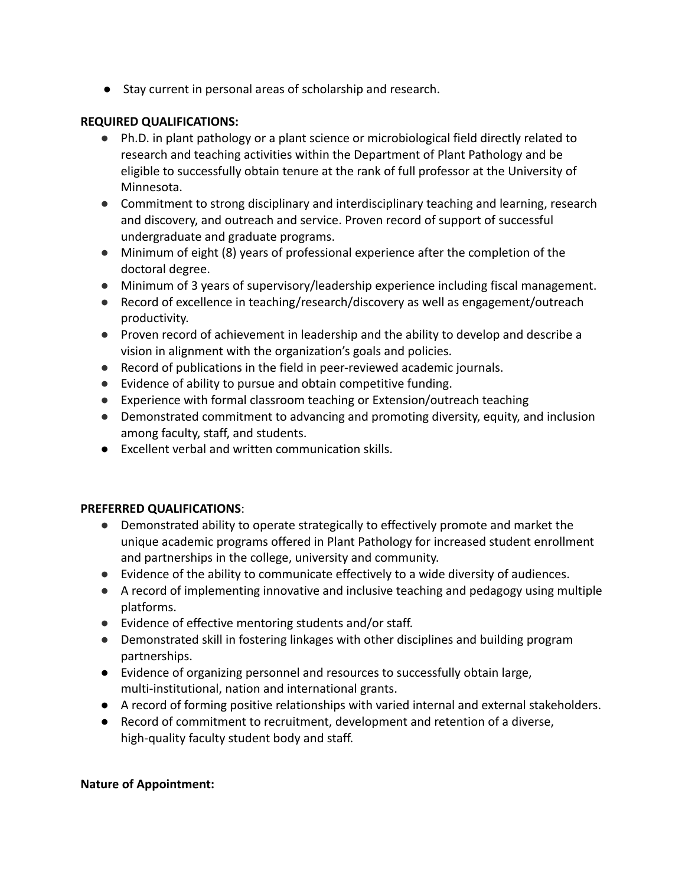● Stay current in personal areas of scholarship and research.

## **REQUIRED QUALIFICATIONS:**

- Ph.D. in plant pathology or a plant science or microbiological field directly related to research and teaching activities within the Department of Plant Pathology and be eligible to successfully obtain tenure at the rank of full professor at the University of Minnesota.
- Commitment to strong disciplinary and interdisciplinary teaching and learning, research and discovery, and outreach and service. Proven record of support of successful undergraduate and graduate programs.
- Minimum of eight (8) years of professional experience after the completion of the doctoral degree.
- Minimum of 3 years of supervisory/leadership experience including fiscal management.
- Record of excellence in teaching/research/discovery as well as engagement/outreach productivity.
- Proven record of achievement in leadership and the ability to develop and describe a vision in alignment with the organization's goals and policies.
- Record of publications in the field in peer-reviewed academic journals.
- Evidence of ability to pursue and obtain competitive funding.
- Experience with formal classroom teaching or Extension/outreach teaching
- Demonstrated commitment to advancing and promoting diversity, equity, and inclusion among faculty, staff, and students.
- Excellent verbal and written communication skills.

## **PREFERRED QUALIFICATIONS**:

- Demonstrated ability to operate strategically to effectively promote and market the unique academic programs offered in Plant Pathology for increased student enrollment and partnerships in the college, university and community.
- Evidence of the ability to communicate effectively to a wide diversity of audiences.
- A record of implementing innovative and inclusive teaching and pedagogy using multiple platforms.
- Evidence of effective mentoring students and/or staff.
- Demonstrated skill in fostering linkages with other disciplines and building program partnerships.
- Evidence of organizing personnel and resources to successfully obtain large, multi-institutional, nation and international grants.
- A record of forming positive relationships with varied internal and external stakeholders.
- Record of commitment to recruitment, development and retention of a diverse, high-quality faculty student body and staff.

## **Nature of Appointment:**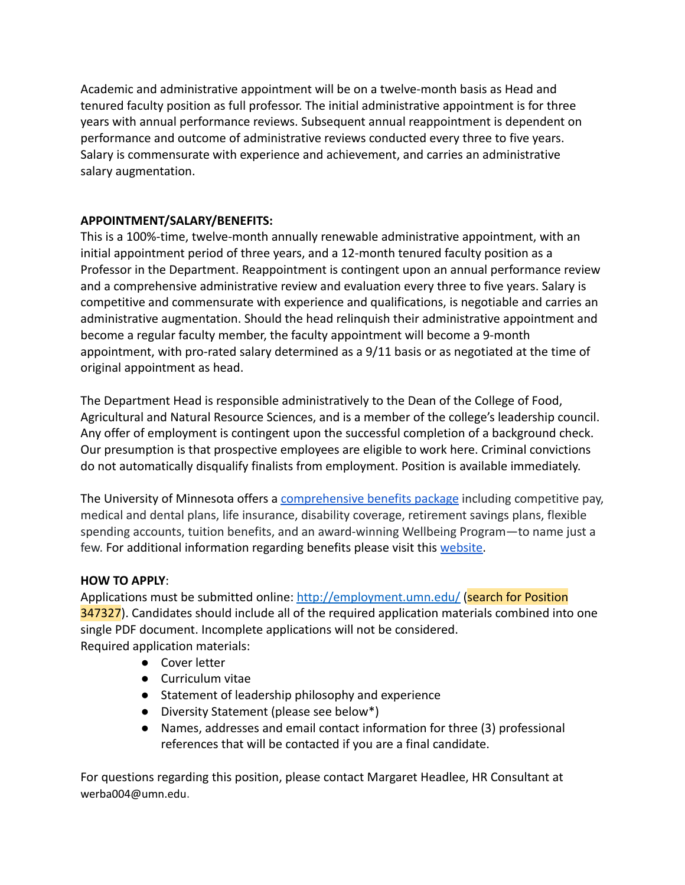Academic and administrative appointment will be on a twelve-month basis as Head and tenured faculty position as full professor. The initial administrative appointment is for three years with annual performance reviews. Subsequent annual reappointment is dependent on performance and outcome of administrative reviews conducted every three to five years. Salary is commensurate with experience and achievement, and carries an administrative salary augmentation.

# **APPOINTMENT/SALARY/BENEFITS:**

This is a 100%-time, twelve-month annually renewable administrative appointment, with an initial appointment period of three years, and a 12-month tenured faculty position as a Professor in the Department. Reappointment is contingent upon an annual performance review and a comprehensive administrative review and evaluation every three to five years. Salary is competitive and commensurate with experience and qualifications, is negotiable and carries an administrative augmentation. Should the head relinquish their administrative appointment and become a regular faculty member, the faculty appointment will become a 9-month appointment, with pro-rated salary determined as a 9/11 basis or as negotiated at the time of original appointment as head.

The Department Head is responsible administratively to the Dean of the College of Food, Agricultural and Natural Resource Sciences, and is a member of the college's leadership council. Any offer of employment is contingent upon the successful completion of a background check. Our presumption is that prospective employees are eligible to work here. Criminal convictions do not automatically disqualify finalists from employment. Position is available immediately.

The University of Minnesota offers a comprehensive [benefits package](https://humanresources.umn.edu/benefits) including competitive pay, medical and dental plans, life insurance, disability coverage, retirement savings plans, flexible spending accounts, tuition benefits, and an award-winning Wellbeing Program—to name just a few. For additional information regarding benefits please visit this [website.](https://humanresources.umn.edu/sites/humanresources.umn.edu/files/2020_tcd-fpa-75100-ben-0105-10_cs_final.pdf)

## **HOW TO APPLY**:

Applications must be submitted online: <http://employment.umn.edu/> (search for Position 347327). Candidates should include all of the required application materials combined into one single PDF document. Incomplete applications will not be considered. Required application materials:

- Cover letter
- Curriculum vitae
- Statement of leadership philosophy and experience
- Diversity Statement (please see below\*)
- Names, addresses and email contact information for three (3) professional references that will be contacted if you are a final candidate.

For questions regarding this position, please contact Margaret Headlee, HR Consultant at werba004@umn.edu.